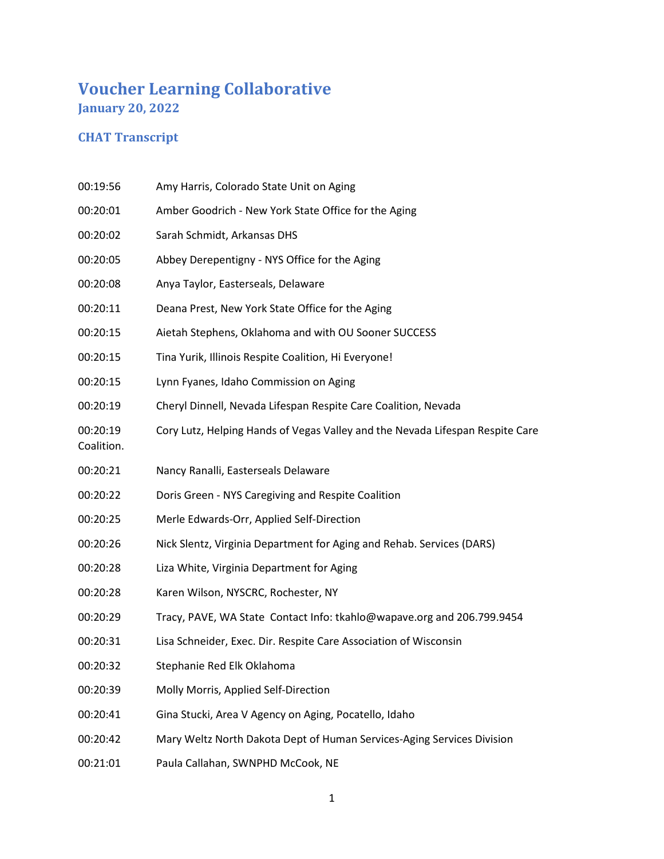## **Voucher Learning Collaborative January 20, 2022**

## **CHAT Transcript**

- 00:19:56 Amy Harris, Colorado State Unit on Aging
- 00:20:01 Amber Goodrich New York State Office for the Aging
- 00:20:02 Sarah Schmidt, Arkansas DHS
- 00:20:05 Abbey Derepentigny NYS Office for the Aging
- 00:20:08 Anya Taylor, Easterseals, Delaware
- 00:20:11 Deana Prest, New York State Office for the Aging
- 00:20:15 Aietah Stephens, Oklahoma and with OU Sooner SUCCESS
- 00:20:15 Tina Yurik, Illinois Respite Coalition, Hi Everyone!
- 00:20:15 Lynn Fyanes, Idaho Commission on Aging
- 00:20:19 Cheryl Dinnell, Nevada Lifespan Respite Care Coalition, Nevada
- 00:20:19 Cory Lutz, Helping Hands of Vegas Valley and the Nevada Lifespan Respite Care
- Coalition.
- 00:20:21 Nancy Ranalli, Easterseals Delaware
- 00:20:22 Doris Green NYS Caregiving and Respite Coalition
- 00:20:25 Merle Edwards-Orr, Applied Self-Direction
- 00:20:26 Nick Slentz, Virginia Department for Aging and Rehab. Services (DARS)
- 00:20:28 Liza White, Virginia Department for Aging
- 00:20:28 Karen Wilson, NYSCRC, Rochester, NY
- 00:20:29 Tracy, PAVE, WA State Contact Info: tkahlo@wapave.org and 206.799.9454
- 00:20:31 Lisa Schneider, Exec. Dir. Respite Care Association of Wisconsin
- 00:20:32 Stephanie Red Elk Oklahoma
- 00:20:39 Molly Morris, Applied Self-Direction
- 00:20:41 Gina Stucki, Area V Agency on Aging, Pocatello, Idaho
- 00:20:42 Mary Weltz North Dakota Dept of Human Services-Aging Services Division
- 00:21:01 Paula Callahan, SWNPHD McCook, NE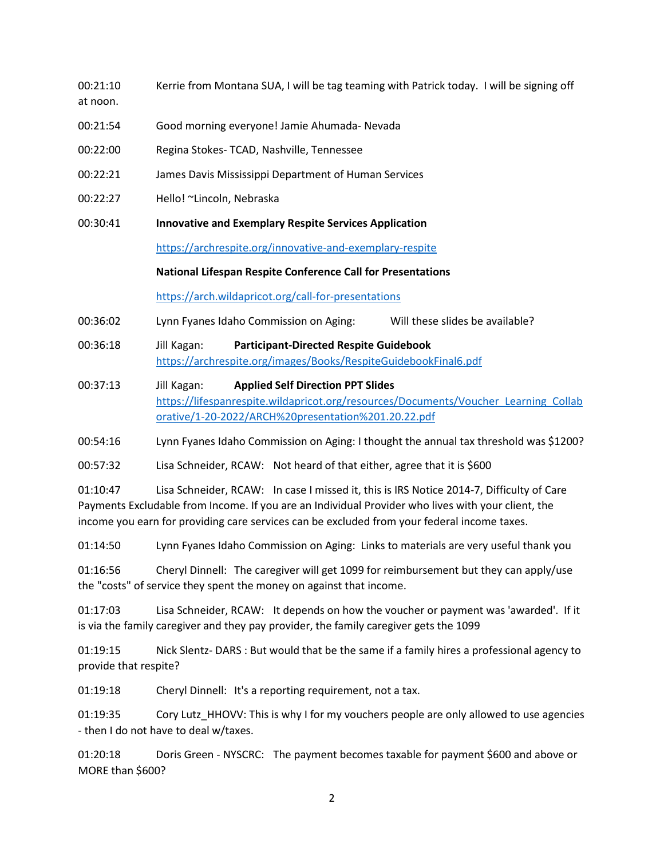- 00:21:10 Kerrie from Montana SUA, I will be tag teaming with Patrick today. I will be signing off at noon.
- 00:21:54 Good morning everyone! Jamie Ahumada- Nevada
- 00:22:00 Regina Stokes- TCAD, Nashville, Tennessee
- 00:22:21 James Davis Mississippi Department of Human Services
- 00:22:27 Hello! ~Lincoln, Nebraska
- 00:30:41 **Innovative and Exemplary Respite Services Application**

<https://archrespite.org/innovative-and-exemplary-respite>

## **National Lifespan Respite Conference Call for Presentations**

<https://arch.wildapricot.org/call-for-presentations>

00:36:02 Lynn Fyanes Idaho Commission on Aging: Will these slides be available?

- 00:36:18 Jill Kagan: **Participant-Directed Respite Guidebook** <https://archrespite.org/images/Books/RespiteGuidebookFinal6.pdf>
- 00:37:13 Jill Kagan: **Applied Self Direction PPT Slides** [https://lifespanrespite.wildapricot.org/resources/Documents/Voucher\\_Learning\\_Collab](https://lifespanrespite.wildapricot.org/resources/Documents/Voucher_Learning_Collaborative/1-20-2022/ARCH%20presentation%201.20.22.pdf) [orative/1-20-2022/ARCH%20presentation%201.20.22.pdf](https://lifespanrespite.wildapricot.org/resources/Documents/Voucher_Learning_Collaborative/1-20-2022/ARCH%20presentation%201.20.22.pdf)

00:54:16 Lynn Fyanes Idaho Commission on Aging: I thought the annual tax threshold was \$1200?

00:57:32 Lisa Schneider, RCAW: Not heard of that either, agree that it is \$600

01:10:47 Lisa Schneider, RCAW: In case I missed it, this is IRS Notice 2014-7, Difficulty of Care Payments Excludable from Income. If you are an Individual Provider who lives with your client, the income you earn for providing care services can be excluded from your federal income taxes.

01:14:50 Lynn Fyanes Idaho Commission on Aging: Links to materials are very useful thank you

01:16:56 Cheryl Dinnell: The caregiver will get 1099 for reimbursement but they can apply/use the "costs" of service they spent the money on against that income.

01:17:03 Lisa Schneider, RCAW: It depends on how the voucher or payment was 'awarded'. If it is via the family caregiver and they pay provider, the family caregiver gets the 1099

01:19:15 Nick Slentz- DARS : But would that be the same if a family hires a professional agency to provide that respite?

01:19:18 Cheryl Dinnell: It's a reporting requirement, not a tax.

01:19:35 Cory Lutz HHOVV: This is why I for my vouchers people are only allowed to use agencies - then I do not have to deal w/taxes.

01:20:18 Doris Green - NYSCRC: The payment becomes taxable for payment \$600 and above or MORE than \$600?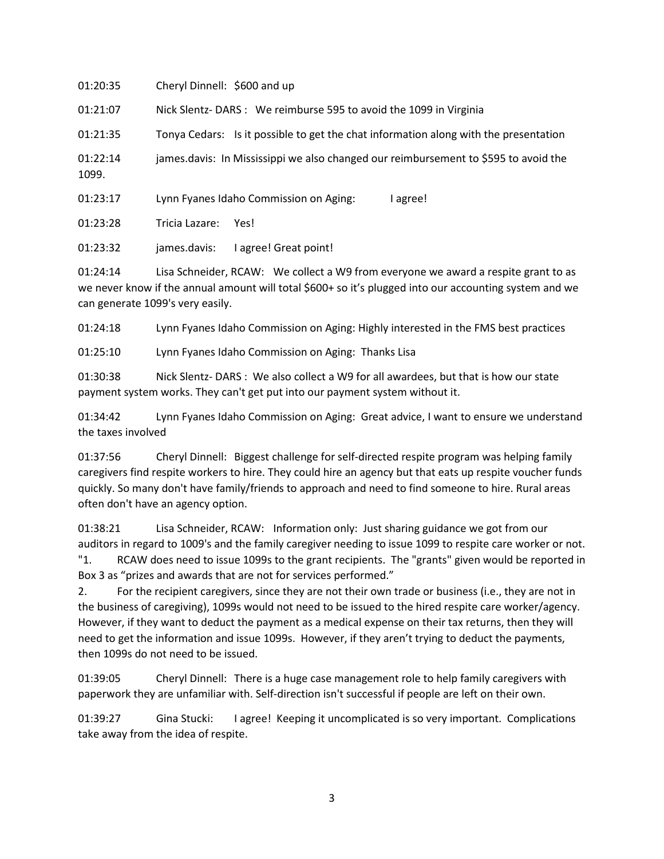| 01:20:35          | Cheryl Dinnell: \$600 and up                                                         |
|-------------------|--------------------------------------------------------------------------------------|
| 01:21:07          | Nick Slentz-DARS : We reimburse 595 to avoid the 1099 in Virginia                    |
| 01:21:35          | Tonya Cedars: Is it possible to get the chat information along with the presentation |
| 01:22:14<br>1099. | james.davis: In Mississippi we also changed our reimbursement to \$595 to avoid the  |
| 01:23:17          | Lynn Fyanes Idaho Commission on Aging:<br>l agree!                                   |
| 01:23:28          | Tricia Lazare:<br>Yes!                                                               |
| 01:23:32          | l agree! Great point!<br>james.davis:                                                |
| 01.21.11          | Lisa Schneider, RCAW: We collect a W9 from everyone we award a respite grapt to a    |

Lisa Schneider, RCAW: We collect a W9 from everyone we award a respite grant to as we never know if the annual amount will total \$600+ so it's plugged into our accounting system and we can generate 1099's very easily.

01:24:18 Lynn Fyanes Idaho Commission on Aging: Highly interested in the FMS best practices

01:25:10 Lynn Fyanes Idaho Commission on Aging: Thanks Lisa

01:30:38 Nick Slentz- DARS : We also collect a W9 for all awardees, but that is how our state payment system works. They can't get put into our payment system without it.

01:34:42 Lynn Fyanes Idaho Commission on Aging: Great advice, I want to ensure we understand the taxes involved

01:37:56 Cheryl Dinnell: Biggest challenge for self-directed respite program was helping family caregivers find respite workers to hire. They could hire an agency but that eats up respite voucher funds quickly. So many don't have family/friends to approach and need to find someone to hire. Rural areas often don't have an agency option.

01:38:21 Lisa Schneider, RCAW: Information only: Just sharing guidance we got from our auditors in regard to 1009's and the family caregiver needing to issue 1099 to respite care worker or not. "1. RCAW does need to issue 1099s to the grant recipients. The "grants" given would be reported in Box 3 as "prizes and awards that are not for services performed."

2. For the recipient caregivers, since they are not their own trade or business (i.e., they are not in the business of caregiving), 1099s would not need to be issued to the hired respite care worker/agency. However, if they want to deduct the payment as a medical expense on their tax returns, then they will need to get the information and issue 1099s. However, if they aren't trying to deduct the payments, then 1099s do not need to be issued.

01:39:05 Cheryl Dinnell: There is a huge case management role to help family caregivers with paperwork they are unfamiliar with. Self-direction isn't successful if people are left on their own.

01:39:27 Gina Stucki: I agree! Keeping it uncomplicated is so very important. Complications take away from the idea of respite.

3